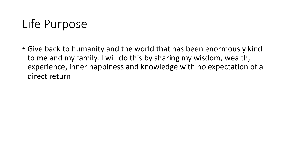# Life Purpose

• Give back to humanity and the world that has been enormously kind to me and my family. I will do this by sharing my wisdom, wealth, experience, inner happiness and knowledge with no expectation of a direct return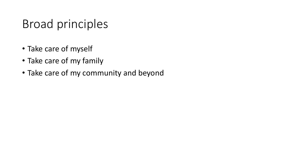#### Broad principles

- Take care of myself
- Take care of my family
- Take care of my community and beyond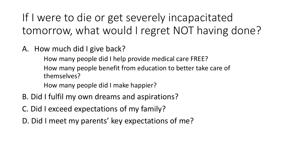If I were to die or get severely incapacitated tomorrow, what would I regret NOT having done?

A. How much did I give back?

How many people did I help provide medical care FREE? How many people benefit from education to better take care of themselves?

How many people did I make happier?

- B. Did I fulfil my own dreams and aspirations?
- C. Did I exceed expectations of my family?
- D. Did I meet my parents' key expectations of me?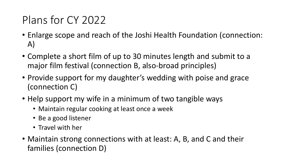#### Plans for CY 2022

- Enlarge scope and reach of the Joshi Health Foundation (connection: A)
- Complete a short film of up to 30 minutes length and submit to a major film festival (connection B, also-broad principles)
- Provide support for my daughter's wedding with poise and grace (connection C)
- Help support my wife in a minimum of two tangible ways
	- Maintain regular cooking at least once a week
	- Be a good listener
	- Travel with her
- Maintain strong connections with at least: A, B, and C and their families (connection D)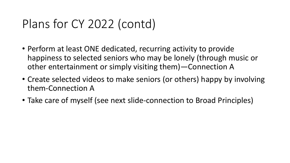## Plans for CY 2022 (contd)

- Perform at least ONE dedicated, recurring activity to provide happiness to selected seniors who may be lonely (through music or other entertainment or simply visiting them)—Connection A
- Create selected videos to make seniors (or others) happy by involving them-Connection A
- Take care of myself (see next slide-connection to Broad Principles)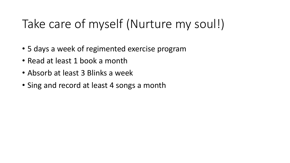# Take care of myself (Nurture my soul!)

- 5 days a week of regimented exercise program
- Read at least 1 book a month
- Absorb at least 3 Blinks a week
- Sing and record at least 4 songs a month